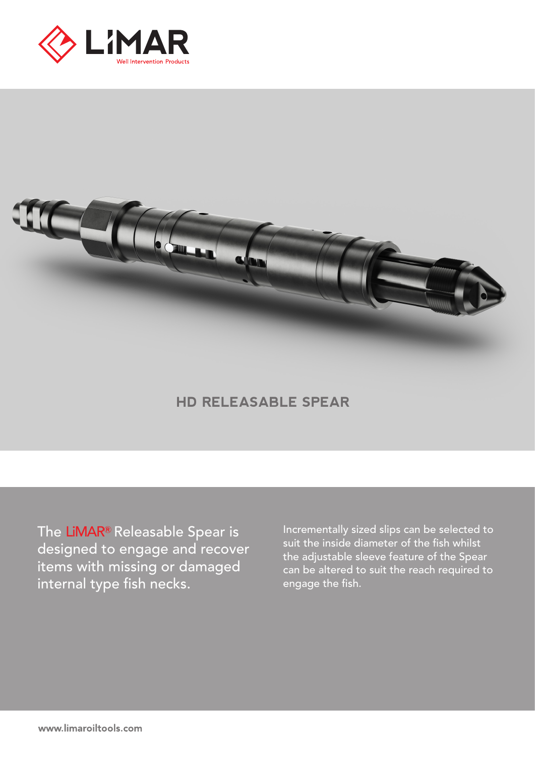



## **HD RELEASABLE SPEAR**

The LiMAR**®** Releasable Spear is designed to engage and recover items with missing or damaged internal type fish necks.

Incrementally sized slips can be selected to suit the inside diameter of the fish whilst the adjustable sleeve feature of the Spear can be altered to suit the reach required to engage the fish.